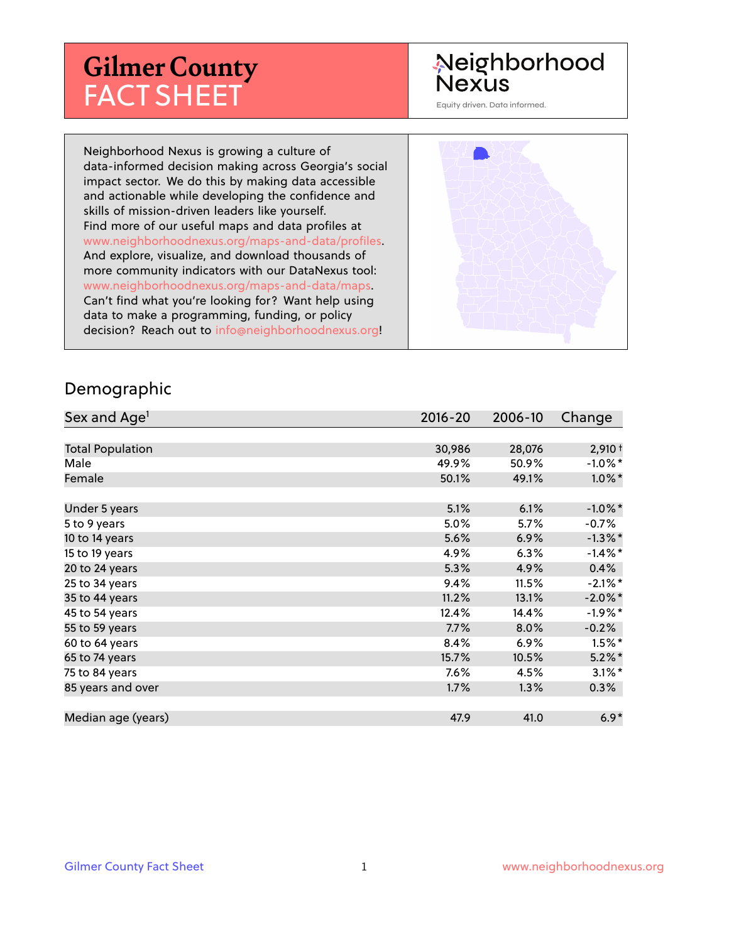# **Gilmer County** FACT SHEET

# Neighborhood **Nexus**

Equity driven. Data informed.

Neighborhood Nexus is growing a culture of data-informed decision making across Georgia's social impact sector. We do this by making data accessible and actionable while developing the confidence and skills of mission-driven leaders like yourself. Find more of our useful maps and data profiles at www.neighborhoodnexus.org/maps-and-data/profiles. And explore, visualize, and download thousands of more community indicators with our DataNexus tool: www.neighborhoodnexus.org/maps-and-data/maps. Can't find what you're looking for? Want help using data to make a programming, funding, or policy decision? Reach out to [info@neighborhoodnexus.org!](mailto:info@neighborhoodnexus.org)



#### Demographic

| Sex and Age <sup>1</sup> | $2016 - 20$ | 2006-10 | Change     |
|--------------------------|-------------|---------|------------|
|                          |             |         |            |
| <b>Total Population</b>  | 30,986      | 28,076  | $2,910+$   |
| Male                     | 49.9%       | 50.9%   | $-1.0\%$ * |
| Female                   | 50.1%       | 49.1%   | $1.0\%$ *  |
|                          |             |         |            |
| Under 5 years            | 5.1%        | 6.1%    | $-1.0\%$ * |
| 5 to 9 years             | 5.0%        | 5.7%    | -0.7%      |
| 10 to 14 years           | 5.6%        | 6.9%    | $-1.3\%$ * |
| 15 to 19 years           | 4.9%        | 6.3%    | $-1.4\%$ * |
| 20 to 24 years           | 5.3%        | 4.9%    | 0.4%       |
| 25 to 34 years           | 9.4%        | 11.5%   | $-2.1\%$ * |
| 35 to 44 years           | 11.2%       | 13.1%   | $-2.0\%$ * |
| 45 to 54 years           | 12.4%       | 14.4%   | $-1.9%$ *  |
| 55 to 59 years           | 7.7%        | 8.0%    | $-0.2%$    |
| 60 to 64 years           | 8.4%        | 6.9%    | $1.5\%$ *  |
| 65 to 74 years           | 15.7%       | 10.5%   | $5.2\%$    |
| 75 to 84 years           | 7.6%        | 4.5%    | $3.1\%$ *  |
| 85 years and over        | 1.7%        | 1.3%    | 0.3%       |
|                          |             |         |            |
| Median age (years)       | 47.9        | 41.0    | $6.9*$     |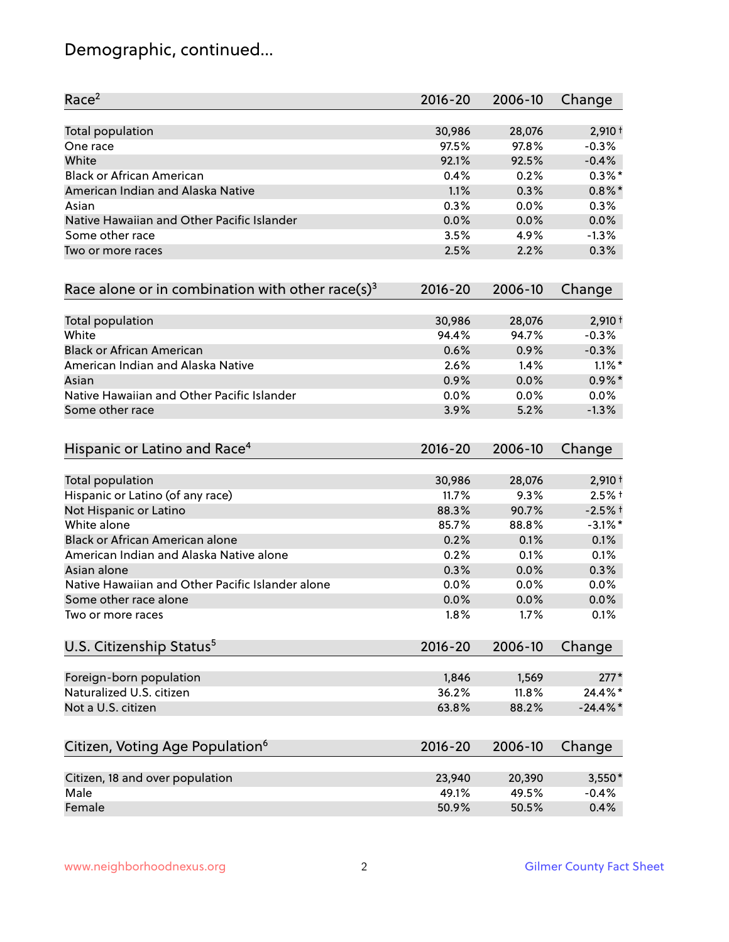# Demographic, continued...

| Race <sup>2</sup>                                   | $2016 - 20$ | 2006-10 | Change      |
|-----------------------------------------------------|-------------|---------|-------------|
| <b>Total population</b>                             | 30,986      | 28,076  | $2,910+$    |
| One race                                            | 97.5%       | 97.8%   | $-0.3%$     |
| White                                               | 92.1%       | 92.5%   | $-0.4%$     |
| <b>Black or African American</b>                    | 0.4%        | 0.2%    | $0.3\%$ *   |
| American Indian and Alaska Native                   | 1.1%        | 0.3%    | $0.8\%$ *   |
| Asian                                               | 0.3%        | $0.0\%$ | 0.3%        |
| Native Hawaiian and Other Pacific Islander          | 0.0%        | 0.0%    | 0.0%        |
| Some other race                                     | 3.5%        | 4.9%    | $-1.3%$     |
| Two or more races                                   | 2.5%        | 2.2%    | 0.3%        |
| Race alone or in combination with other race(s) $3$ | $2016 - 20$ | 2006-10 | Change      |
| Total population                                    | 30,986      | 28,076  | $2,910+$    |
| White                                               | 94.4%       | 94.7%   | $-0.3%$     |
| <b>Black or African American</b>                    | 0.6%        | 0.9%    | $-0.3%$     |
| American Indian and Alaska Native                   | 2.6%        | 1.4%    | $1.1\%$ *   |
| Asian                                               | 0.9%        | 0.0%    | $0.9\%$ *   |
| Native Hawaiian and Other Pacific Islander          | 0.0%        | 0.0%    | 0.0%        |
| Some other race                                     | 3.9%        | 5.2%    | $-1.3%$     |
| Hispanic or Latino and Race <sup>4</sup>            | $2016 - 20$ | 2006-10 | Change      |
| <b>Total population</b>                             | 30,986      | 28,076  | $2,910+$    |
| Hispanic or Latino (of any race)                    | 11.7%       | 9.3%    | $2.5%$ †    |
| Not Hispanic or Latino                              | 88.3%       | 90.7%   | $-2.5%$ †   |
| White alone                                         | 85.7%       | 88.8%   | $-3.1\%$ *  |
| Black or African American alone                     | 0.2%        | 0.1%    | 0.1%        |
| American Indian and Alaska Native alone             | 0.2%        | 0.1%    | 0.1%        |
| Asian alone                                         | 0.3%        | 0.0%    | 0.3%        |
| Native Hawaiian and Other Pacific Islander alone    | 0.0%        | 0.0%    | 0.0%        |
| Some other race alone                               | 0.0%        | 0.0%    | 0.0%        |
| Two or more races                                   | 1.8%        | 1.7%    | 0.1%        |
| U.S. Citizenship Status <sup>5</sup>                | $2016 - 20$ | 2006-10 | Change      |
| Foreign-born population                             | 1,846       | 1,569   | $277*$      |
| Naturalized U.S. citizen                            | 36.2%       | 11.8%   | 24.4%*      |
| Not a U.S. citizen                                  | 63.8%       | 88.2%   | $-24.4\%$ * |
| Citizen, Voting Age Population <sup>6</sup>         | $2016 - 20$ | 2006-10 | Change      |
|                                                     |             |         |             |
| Citizen, 18 and over population                     | 23,940      | 20,390  | $3,550*$    |
| Male                                                | 49.1%       | 49.5%   | $-0.4%$     |
| Female                                              | 50.9%       | 50.5%   | 0.4%        |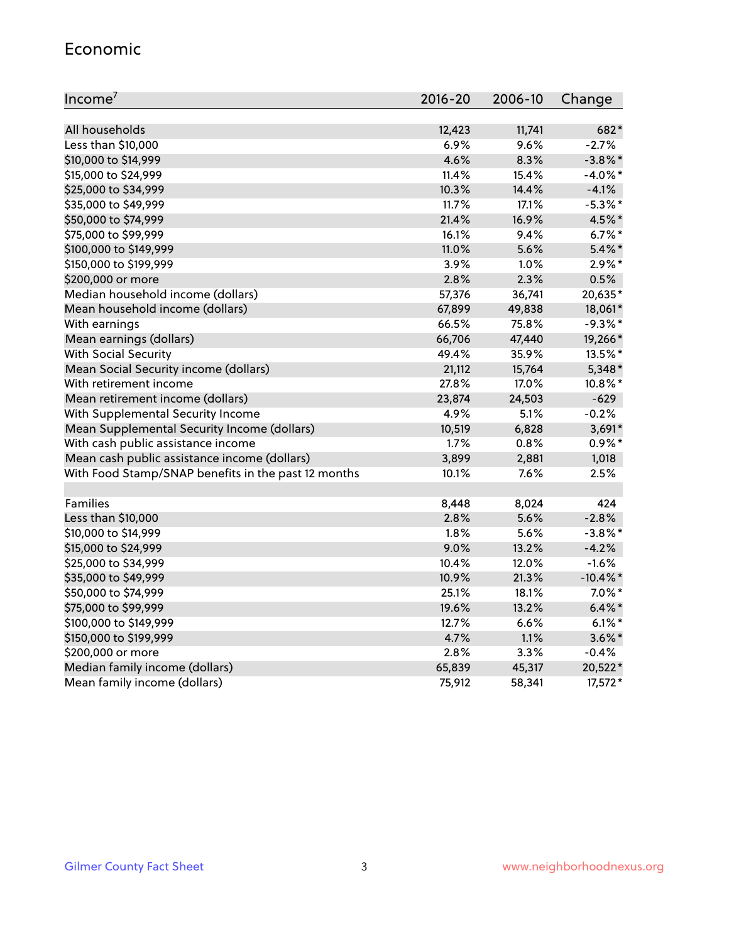#### Economic

| Income <sup>7</sup>                                 | $2016 - 20$ | 2006-10 | Change      |
|-----------------------------------------------------|-------------|---------|-------------|
|                                                     |             |         |             |
| All households                                      | 12,423      | 11,741  | 682*        |
| Less than \$10,000                                  | 6.9%        | 9.6%    | $-2.7%$     |
| \$10,000 to \$14,999                                | 4.6%        | 8.3%    | $-3.8\%$ *  |
| \$15,000 to \$24,999                                | 11.4%       | 15.4%   | $-4.0\%$ *  |
| \$25,000 to \$34,999                                | 10.3%       | 14.4%   | $-4.1%$     |
| \$35,000 to \$49,999                                | 11.7%       | 17.1%   | $-5.3\%$ *  |
| \$50,000 to \$74,999                                | 21.4%       | 16.9%   | 4.5%*       |
| \$75,000 to \$99,999                                | 16.1%       | 9.4%    | $6.7\%$ *   |
| \$100,000 to \$149,999                              | 11.0%       | 5.6%    | $5.4\%$ *   |
| \$150,000 to \$199,999                              | 3.9%        | 1.0%    | $2.9\%*$    |
| \$200,000 or more                                   | 2.8%        | 2.3%    | 0.5%        |
| Median household income (dollars)                   | 57,376      | 36,741  | 20,635*     |
| Mean household income (dollars)                     | 67,899      | 49,838  | 18,061*     |
| With earnings                                       | 66.5%       | 75.8%   | $-9.3%$ *   |
| Mean earnings (dollars)                             | 66,706      | 47,440  | 19,266*     |
| <b>With Social Security</b>                         | 49.4%       | 35.9%   | 13.5%*      |
| Mean Social Security income (dollars)               | 21,112      | 15,764  | 5,348*      |
| With retirement income                              | 27.8%       | 17.0%   | 10.8%*      |
| Mean retirement income (dollars)                    | 23,874      | 24,503  | $-629$      |
| With Supplemental Security Income                   | 4.9%        | 5.1%    | $-0.2%$     |
| Mean Supplemental Security Income (dollars)         | 10,519      | 6,828   | 3,691*      |
| With cash public assistance income                  | 1.7%        | 0.8%    | $0.9\%*$    |
| Mean cash public assistance income (dollars)        | 3,899       | 2,881   | 1,018       |
| With Food Stamp/SNAP benefits in the past 12 months | 10.1%       | 7.6%    | 2.5%        |
|                                                     |             |         |             |
| Families                                            | 8,448       | 8,024   | 424         |
| Less than \$10,000                                  | 2.8%        | 5.6%    | $-2.8%$     |
| \$10,000 to \$14,999                                | 1.8%        | 5.6%    | $-3.8\%$ *  |
| \$15,000 to \$24,999                                | 9.0%        | 13.2%   | $-4.2%$     |
| \$25,000 to \$34,999                                | 10.4%       | 12.0%   | $-1.6%$     |
| \$35,000 to \$49,999                                | 10.9%       | 21.3%   | $-10.4\%$ * |
| \$50,000 to \$74,999                                | 25.1%       | 18.1%   | $7.0\%$ *   |
| \$75,000 to \$99,999                                | 19.6%       | 13.2%   | $6.4\%$ *   |
| \$100,000 to \$149,999                              | 12.7%       | 6.6%    | $6.1\%$ *   |
| \$150,000 to \$199,999                              | 4.7%        | 1.1%    | $3.6\%$ *   |
| \$200,000 or more                                   | 2.8%        | 3.3%    | $-0.4%$     |
| Median family income (dollars)                      | 65,839      | 45,317  | 20,522*     |
| Mean family income (dollars)                        | 75,912      | 58,341  | 17,572*     |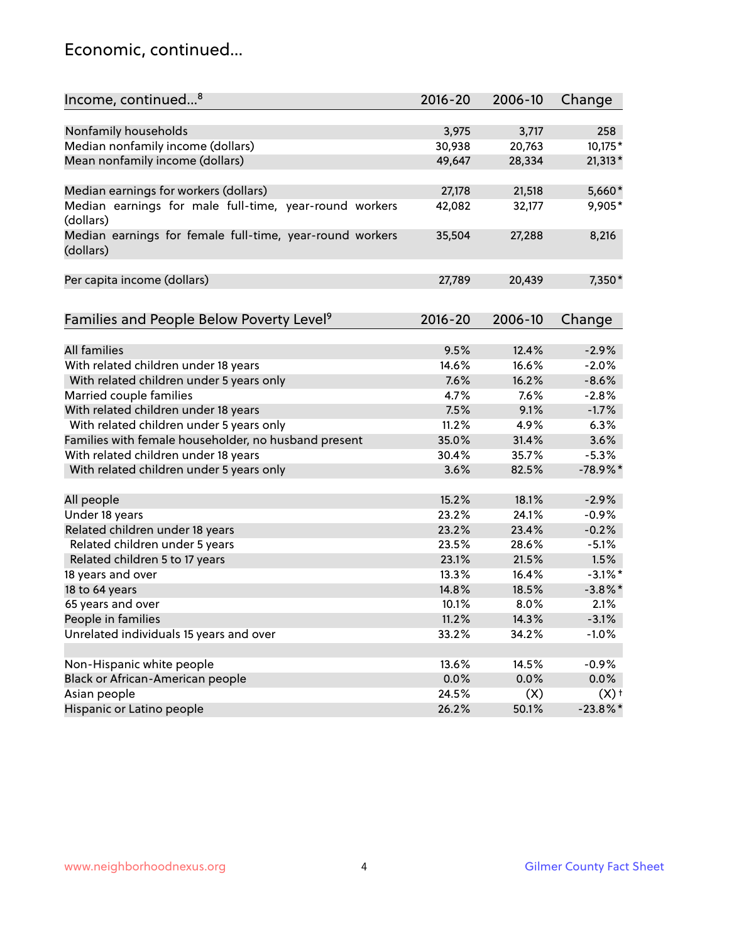### Economic, continued...

| Income, continued <sup>8</sup>                                        | $2016 - 20$ | 2006-10 | Change             |
|-----------------------------------------------------------------------|-------------|---------|--------------------|
|                                                                       |             |         |                    |
| Nonfamily households                                                  | 3,975       | 3,717   | 258                |
| Median nonfamily income (dollars)                                     | 30,938      | 20,763  | 10,175*            |
| Mean nonfamily income (dollars)                                       | 49,647      | 28,334  | $21,313*$          |
| Median earnings for workers (dollars)                                 | 27,178      | 21,518  | 5,660*             |
| Median earnings for male full-time, year-round workers                | 42,082      | 32,177  | 9,905*             |
| (dollars)                                                             |             |         |                    |
| Median earnings for female full-time, year-round workers<br>(dollars) | 35,504      | 27,288  | 8,216              |
| Per capita income (dollars)                                           | 27,789      | 20,439  | 7,350*             |
|                                                                       |             |         |                    |
| Families and People Below Poverty Level <sup>9</sup>                  | $2016 - 20$ | 2006-10 | Change             |
|                                                                       |             |         |                    |
| <b>All families</b>                                                   | 9.5%        | 12.4%   | $-2.9%$            |
| With related children under 18 years                                  | 14.6%       | 16.6%   | $-2.0%$            |
| With related children under 5 years only                              | 7.6%        | 16.2%   | $-8.6%$            |
| Married couple families                                               | 4.7%        | 7.6%    | $-2.8%$            |
| With related children under 18 years                                  | 7.5%        | 9.1%    | $-1.7%$            |
| With related children under 5 years only                              | 11.2%       | 4.9%    | 6.3%               |
| Families with female householder, no husband present                  | 35.0%       | 31.4%   | 3.6%               |
| With related children under 18 years                                  | 30.4%       | 35.7%   | $-5.3%$            |
| With related children under 5 years only                              | 3.6%        | 82.5%   | $-78.9%$           |
| All people                                                            | 15.2%       | 18.1%   | $-2.9%$            |
| Under 18 years                                                        | 23.2%       | 24.1%   | $-0.9%$            |
| Related children under 18 years                                       | 23.2%       | 23.4%   | $-0.2%$            |
| Related children under 5 years                                        | 23.5%       | 28.6%   | $-5.1%$            |
| Related children 5 to 17 years                                        | 23.1%       | 21.5%   | 1.5%               |
| 18 years and over                                                     | 13.3%       | 16.4%   | $-3.1\%$ *         |
| 18 to 64 years                                                        | 14.8%       | 18.5%   | $-3.8\%$ *         |
| 65 years and over                                                     | 10.1%       | 8.0%    | 2.1%               |
| People in families                                                    | 11.2%       | 14.3%   | $-3.1%$            |
| Unrelated individuals 15 years and over                               | 33.2%       | 34.2%   | $-1.0%$            |
|                                                                       |             |         |                    |
| Non-Hispanic white people                                             | 13.6%       | 14.5%   | $-0.9%$            |
| Black or African-American people                                      | 0.0%        | 0.0%    | 0.0%               |
| Asian people                                                          | 24.5%       | (X)     | $(X)$ <sup>+</sup> |
| Hispanic or Latino people                                             | 26.2%       | 50.1%   | $-23.8\%$ *        |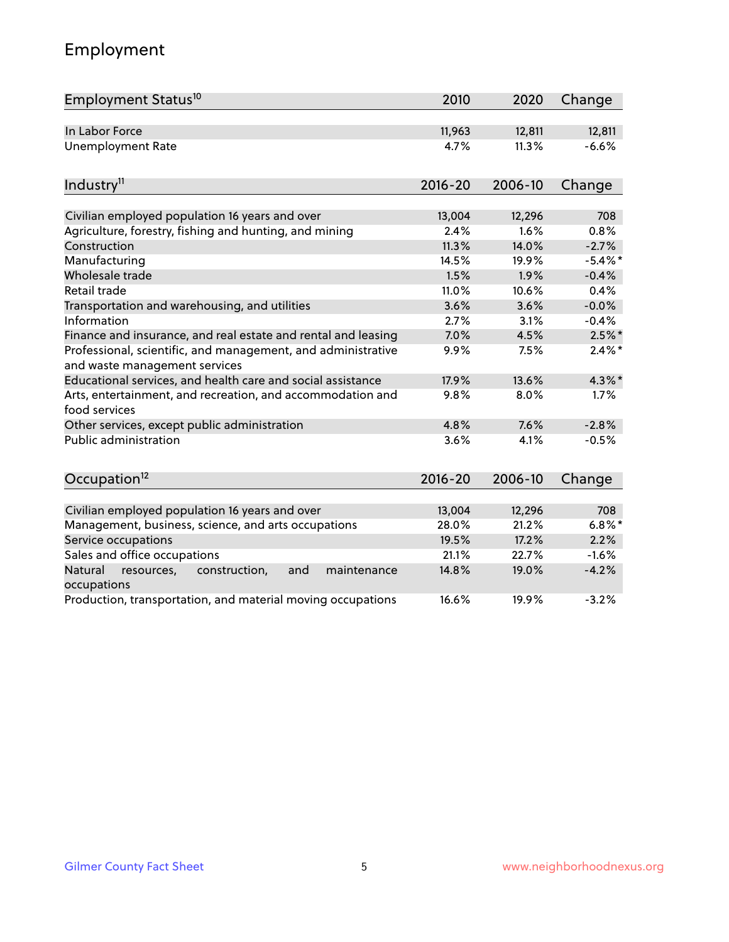# Employment

| Employment Status <sup>10</sup>                                                               | 2010        | 2020    | Change     |
|-----------------------------------------------------------------------------------------------|-------------|---------|------------|
| In Labor Force                                                                                | 11,963      | 12,811  | 12,811     |
| <b>Unemployment Rate</b>                                                                      | 4.7%        | 11.3%   | $-6.6%$    |
| Industry <sup>11</sup>                                                                        | $2016 - 20$ | 2006-10 | Change     |
|                                                                                               |             |         |            |
| Civilian employed population 16 years and over                                                | 13,004      | 12,296  | 708        |
| Agriculture, forestry, fishing and hunting, and mining                                        | 2.4%        | 1.6%    | 0.8%       |
| Construction                                                                                  | 11.3%       | 14.0%   | $-2.7%$    |
| Manufacturing                                                                                 | 14.5%       | 19.9%   | $-5.4\%$ * |
| Wholesale trade                                                                               | 1.5%        | 1.9%    | $-0.4%$    |
| Retail trade                                                                                  | 11.0%       | 10.6%   | 0.4%       |
| Transportation and warehousing, and utilities                                                 | 3.6%        | 3.6%    | $-0.0%$    |
| Information                                                                                   | 2.7%        | 3.1%    | $-0.4%$    |
| Finance and insurance, and real estate and rental and leasing                                 | 7.0%        | 4.5%    | $2.5%$ *   |
| Professional, scientific, and management, and administrative<br>and waste management services | 9.9%        | 7.5%    | $2.4\%$ *  |
| Educational services, and health care and social assistance                                   | 17.9%       | 13.6%   | $4.3\%$ *  |
| Arts, entertainment, and recreation, and accommodation and<br>food services                   | 9.8%        | 8.0%    | 1.7%       |
| Other services, except public administration                                                  | 4.8%        | 7.6%    | $-2.8%$    |
| Public administration                                                                         | 3.6%        | 4.1%    | $-0.5%$    |
| Occupation <sup>12</sup>                                                                      | $2016 - 20$ | 2006-10 | Change     |
|                                                                                               |             |         |            |
| Civilian employed population 16 years and over                                                | 13,004      | 12,296  | 708        |
| Management, business, science, and arts occupations                                           | 28.0%       | 21.2%   | $6.8\%$ *  |
| Service occupations                                                                           | 19.5%       | 17.2%   | 2.2%       |
| Sales and office occupations                                                                  | 21.1%       | 22.7%   | $-1.6%$    |
| Natural<br>construction,<br>resources,<br>and<br>maintenance<br>occupations                   | 14.8%       | 19.0%   | $-4.2%$    |
| Production, transportation, and material moving occupations                                   | 16.6%       | 19.9%   | $-3.2%$    |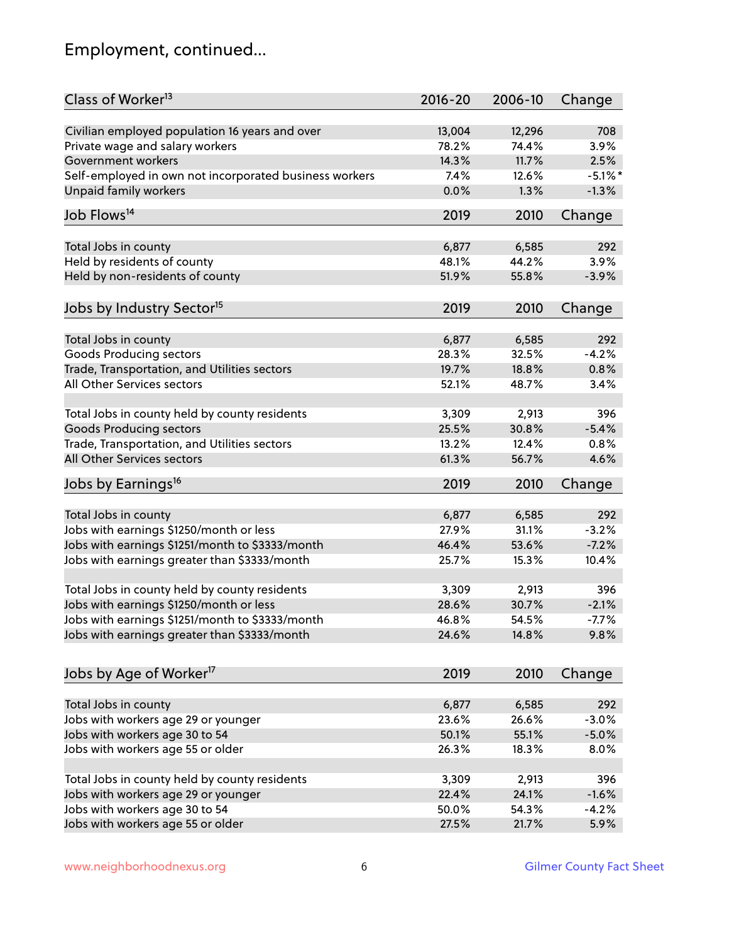# Employment, continued...

| Class of Worker <sup>13</sup>                                                              | $2016 - 20$    | 2006-10 | Change     |
|--------------------------------------------------------------------------------------------|----------------|---------|------------|
| Civilian employed population 16 years and over                                             | 13,004         | 12,296  | 708        |
| Private wage and salary workers                                                            | 78.2%          | 74.4%   | 3.9%       |
| Government workers                                                                         | 14.3%          | 11.7%   | 2.5%       |
| Self-employed in own not incorporated business workers                                     | 7.4%           | 12.6%   | $-5.1\%$ * |
| <b>Unpaid family workers</b>                                                               | 0.0%           | 1.3%    | $-1.3%$    |
|                                                                                            |                |         |            |
| Job Flows <sup>14</sup>                                                                    | 2019           | 2010    | Change     |
| Total Jobs in county                                                                       | 6,877          | 6,585   | 292        |
| Held by residents of county                                                                | 48.1%          | 44.2%   | 3.9%       |
| Held by non-residents of county                                                            | 51.9%          | 55.8%   | $-3.9%$    |
|                                                                                            |                |         |            |
| Jobs by Industry Sector <sup>15</sup>                                                      | 2019           | 2010    | Change     |
|                                                                                            |                |         |            |
| Total Jobs in county                                                                       | 6,877<br>28.3% | 6,585   | 292        |
| Goods Producing sectors                                                                    |                | 32.5%   | $-4.2%$    |
| Trade, Transportation, and Utilities sectors<br>All Other Services sectors                 | 19.7%          | 18.8%   | 0.8%       |
|                                                                                            | 52.1%          | 48.7%   | 3.4%       |
| Total Jobs in county held by county residents                                              | 3,309          | 2,913   | 396        |
| <b>Goods Producing sectors</b>                                                             | 25.5%          | 30.8%   | $-5.4%$    |
| Trade, Transportation, and Utilities sectors                                               | 13.2%          | 12.4%   | 0.8%       |
| All Other Services sectors                                                                 | 61.3%          | 56.7%   | 4.6%       |
|                                                                                            |                |         |            |
| Jobs by Earnings <sup>16</sup>                                                             | 2019           | 2010    | Change     |
| Total Jobs in county                                                                       | 6,877          | 6,585   | 292        |
|                                                                                            | 27.9%          | 31.1%   | $-3.2%$    |
| Jobs with earnings \$1250/month or less<br>Jobs with earnings \$1251/month to \$3333/month | 46.4%          | 53.6%   | $-7.2%$    |
|                                                                                            | 25.7%          |         |            |
| Jobs with earnings greater than \$3333/month                                               |                | 15.3%   | 10.4%      |
| Total Jobs in county held by county residents                                              | 3,309          | 2,913   | 396        |
| Jobs with earnings \$1250/month or less                                                    | 28.6%          | 30.7%   | $-2.1%$    |
| Jobs with earnings \$1251/month to \$3333/month                                            | 46.8%          | 54.5%   | $-7.7\%$   |
| Jobs with earnings greater than \$3333/month                                               | 24.6%          | 14.8%   | 9.8%       |
|                                                                                            |                |         |            |
| Jobs by Age of Worker <sup>17</sup>                                                        | 2019           | 2010    | Change     |
| Total Jobs in county                                                                       | 6,877          | 6,585   | 292        |
| Jobs with workers age 29 or younger                                                        | 23.6%          | 26.6%   | $-3.0%$    |
| Jobs with workers age 30 to 54                                                             | 50.1%          | 55.1%   | $-5.0%$    |
| Jobs with workers age 55 or older                                                          | 26.3%          | 18.3%   | 8.0%       |
|                                                                                            |                |         |            |
| Total Jobs in county held by county residents                                              | 3,309          | 2,913   | 396        |
| Jobs with workers age 29 or younger                                                        | 22.4%          | 24.1%   | $-1.6%$    |
| Jobs with workers age 30 to 54                                                             | 50.0%          | 54.3%   | $-4.2%$    |
| Jobs with workers age 55 or older                                                          | 27.5%          | 21.7%   | 5.9%       |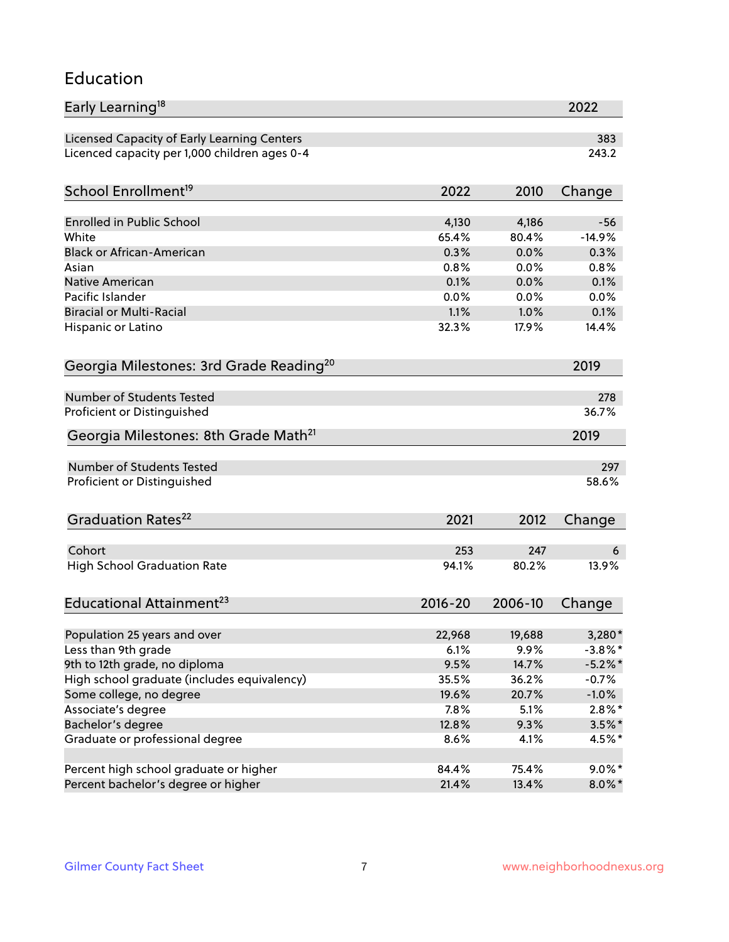#### Education

| Early Learning <sup>18</sup>                        |             |         | 2022       |
|-----------------------------------------------------|-------------|---------|------------|
| Licensed Capacity of Early Learning Centers         |             |         | 383        |
| Licenced capacity per 1,000 children ages 0-4       |             |         | 243.2      |
| School Enrollment <sup>19</sup>                     | 2022        | 2010    | Change     |
|                                                     |             |         |            |
| <b>Enrolled in Public School</b>                    | 4,130       | 4,186   | $-56$      |
| White                                               | 65.4%       | 80.4%   | $-14.9%$   |
| <b>Black or African-American</b>                    | 0.3%        | 0.0%    | 0.3%       |
| Asian                                               | 0.8%        | 0.0%    | 0.8%       |
| Native American                                     | 0.1%        | 0.0%    | 0.1%       |
| Pacific Islander                                    | 0.0%        | 0.0%    | 0.0%       |
| <b>Biracial or Multi-Racial</b>                     | 1.1%        | 1.0%    | 0.1%       |
| Hispanic or Latino                                  | 32.3%       | 17.9%   | 14.4%      |
| Georgia Milestones: 3rd Grade Reading <sup>20</sup> |             |         | 2019       |
|                                                     |             |         |            |
| Number of Students Tested                           |             |         | 278        |
| Proficient or Distinguished                         |             |         | 36.7%      |
| Georgia Milestones: 8th Grade Math <sup>21</sup>    |             |         | 2019       |
| Number of Students Tested                           |             |         | 297        |
| Proficient or Distinguished                         |             |         | 58.6%      |
|                                                     |             |         |            |
| Graduation Rates <sup>22</sup>                      | 2021        | 2012    | Change     |
|                                                     |             |         |            |
| Cohort                                              | 253         | 247     | 6          |
| <b>High School Graduation Rate</b>                  | 94.1%       | 80.2%   | 13.9%      |
| Educational Attainment <sup>23</sup>                | $2016 - 20$ | 2006-10 | Change     |
|                                                     |             |         |            |
| Population 25 years and over                        | 22,968      | 19,688  | 3,280*     |
| Less than 9th grade                                 | 6.1%        | 9.9%    | $-3.8\%$ * |
| 9th to 12th grade, no diploma                       | 9.5%        | 14.7%   | $-5.2\%$ * |
| High school graduate (includes equivalency)         | 35.5%       | 36.2%   | $-0.7%$    |
| Some college, no degree                             | 19.6%       | 20.7%   | $-1.0%$    |
| Associate's degree                                  | 7.8%        | 5.1%    | $2.8\%$ *  |
| Bachelor's degree                                   | 12.8%       | 9.3%    | $3.5\%$ *  |
| Graduate or professional degree                     | 8.6%        | 4.1%    | 4.5%*      |
| Percent high school graduate or higher              | 84.4%       | 75.4%   | $9.0\%$ *  |
| Percent bachelor's degree or higher                 | 21.4%       | 13.4%   | $8.0\%$ *  |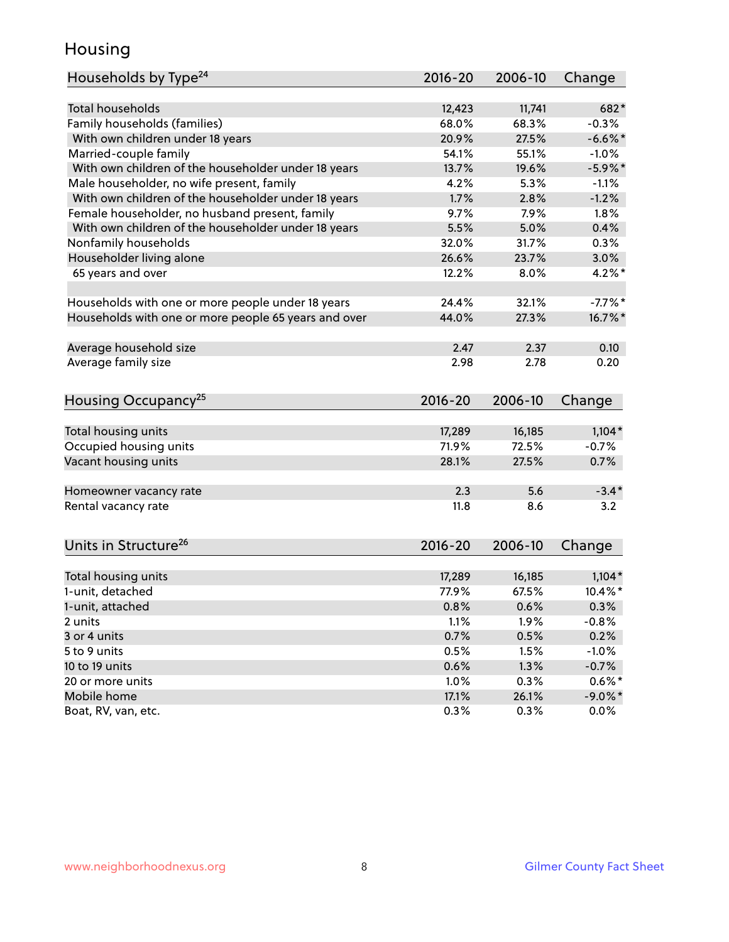### Housing

| Households by Type <sup>24</sup>                     | $2016 - 20$ | 2006-10       | Change     |
|------------------------------------------------------|-------------|---------------|------------|
|                                                      |             |               |            |
| <b>Total households</b>                              | 12,423      | 11,741        | 682*       |
| Family households (families)                         | 68.0%       | 68.3%         | $-0.3%$    |
| With own children under 18 years                     | 20.9%       | 27.5%         | $-6.6%$    |
| Married-couple family                                | 54.1%       | 55.1%         | $-1.0%$    |
| With own children of the householder under 18 years  | 13.7%       | 19.6%         | $-5.9\%$ * |
| Male householder, no wife present, family            | 4.2%        | 5.3%          | $-1.1%$    |
| With own children of the householder under 18 years  | 1.7%        | 2.8%          | $-1.2%$    |
| Female householder, no husband present, family       | 9.7%        | 7.9%          | 1.8%       |
| With own children of the householder under 18 years  | 5.5%        | 5.0%          | 0.4%       |
| Nonfamily households                                 | 32.0%       | 31.7%         | 0.3%       |
| Householder living alone                             | 26.6%       | 23.7%         | 3.0%       |
| 65 years and over                                    | 12.2%       | 8.0%          | $4.2\%$ *  |
| Households with one or more people under 18 years    | 24.4%       | 32.1%         | $-7.7%$ *  |
| Households with one or more people 65 years and over | 44.0%       | 27.3%         | 16.7%*     |
|                                                      |             |               |            |
| Average household size                               | 2.47        | 2.37          | 0.10       |
| Average family size                                  | 2.98        | 2.78          | 0.20       |
| Housing Occupancy <sup>25</sup>                      | $2016 - 20$ | 2006-10       | Change     |
|                                                      |             |               |            |
| Total housing units                                  | 17,289      | 16,185        | $1,104*$   |
| Occupied housing units                               | 71.9%       | 72.5%         | $-0.7%$    |
| Vacant housing units                                 | 28.1%       | 27.5%         | 0.7%       |
| Homeowner vacancy rate                               | 2.3         | 5.6           | $-3.4*$    |
| Rental vacancy rate                                  | 11.8        | 8.6           | 3.2        |
|                                                      |             |               |            |
| Units in Structure <sup>26</sup>                     | $2016 - 20$ | 2006-10       | Change     |
| Total housing units                                  | 17,289      | 16,185        | $1,104*$   |
| 1-unit, detached                                     | 77.9%       | 67.5%         | 10.4%*     |
| 1-unit, attached                                     | 0.8%        | 0.6%          | 0.3%       |
| 2 units                                              | 1.1%        | 1.9%          | $-0.8%$    |
| 3 or 4 units                                         | 0.7%        | 0.5%          | 0.2%       |
| 5 to 9 units                                         | 0.5%        | 1.5%          | $-1.0%$    |
| 10 to 19 units                                       | 0.6%        | 1.3%          | $-0.7%$    |
|                                                      | 1.0%        |               | $0.6\%*$   |
| 20 or more units<br>Mobile home                      | 17.1%       | 0.3%<br>26.1% | $-9.0\%$ * |
| Boat, RV, van, etc.                                  | 0.3%        | 0.3%          | $0.0\%$    |
|                                                      |             |               |            |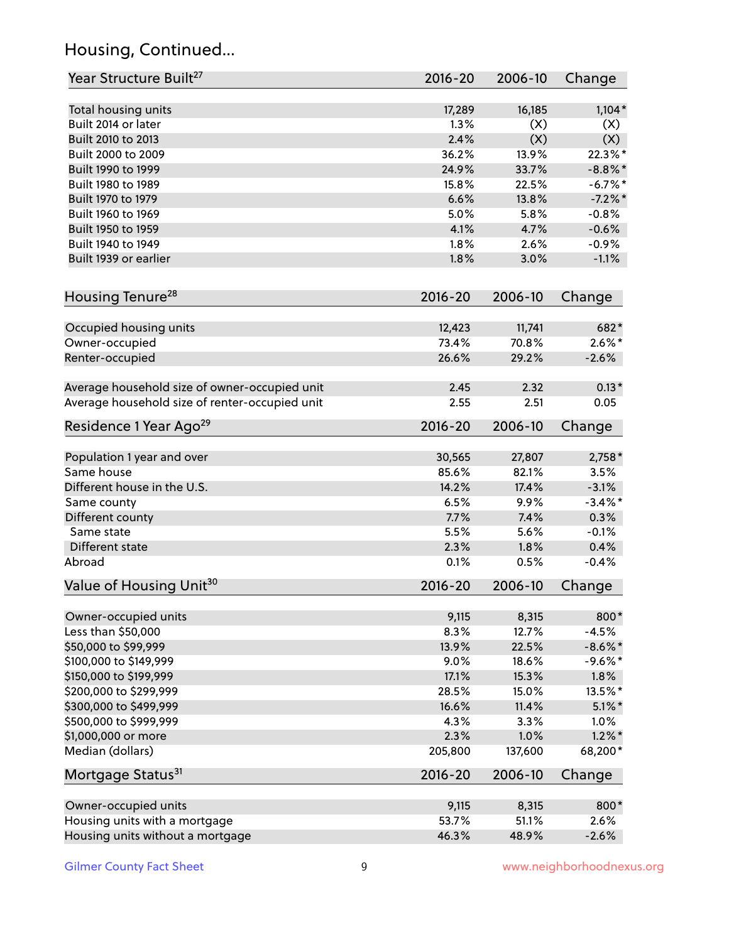# Housing, Continued...

| Year Structure Built <sup>27</sup>             | 2016-20     | 2006-10 | Change         |
|------------------------------------------------|-------------|---------|----------------|
| Total housing units                            | 17,289      | 16,185  | $1,104*$       |
| Built 2014 or later                            | 1.3%        | (X)     | (X)            |
| Built 2010 to 2013                             | 2.4%        | (X)     | (X)            |
| Built 2000 to 2009                             | 36.2%       | 13.9%   | 22.3%*         |
| Built 1990 to 1999                             | 24.9%       | 33.7%   | $-8.8\%$ *     |
| Built 1980 to 1989                             | 15.8%       | 22.5%   | $-6.7\%$ *     |
| Built 1970 to 1979                             | 6.6%        | 13.8%   | $-7.2%$        |
| Built 1960 to 1969                             | 5.0%        | 5.8%    | $-0.8%$        |
| Built 1950 to 1959                             | 4.1%        | 4.7%    | $-0.6%$        |
| Built 1940 to 1949                             | 1.8%        | 2.6%    | $-0.9%$        |
| Built 1939 or earlier                          | 1.8%        | 3.0%    | $-1.1%$        |
|                                                |             |         |                |
| Housing Tenure <sup>28</sup>                   | $2016 - 20$ | 2006-10 | Change         |
| Occupied housing units                         | 12,423      | 11,741  | 682*           |
| Owner-occupied                                 | 73.4%       | 70.8%   | $2.6\%$ *      |
| Renter-occupied                                | 26.6%       | 29.2%   | $-2.6%$        |
| Average household size of owner-occupied unit  | 2.45        | 2.32    | $0.13*$        |
| Average household size of renter-occupied unit | 2.55        | 2.51    | 0.05           |
| Residence 1 Year Ago <sup>29</sup>             | 2016-20     | 2006-10 | Change         |
|                                                | 30,565      | 27,807  |                |
| Population 1 year and over<br>Same house       | 85.6%       | 82.1%   | 2,758*<br>3.5% |
| Different house in the U.S.                    | 14.2%       | 17.4%   | $-3.1%$        |
| Same county                                    | 6.5%        | 9.9%    | $-3.4\%$ *     |
| Different county                               | 7.7%        | 7.4%    | 0.3%           |
| Same state                                     | 5.5%        | 5.6%    | $-0.1%$        |
| Different state                                | 2.3%        | 1.8%    | 0.4%           |
| Abroad                                         | 0.1%        | 0.5%    | $-0.4%$        |
| Value of Housing Unit <sup>30</sup>            | 2016-20     | 2006-10 | Change         |
|                                                |             |         |                |
| Owner-occupied units                           | 9,115       | 8,315   | 800*           |
| Less than \$50,000                             | 8.3%        | 12.7%   | $-4.5%$        |
| \$50,000 to \$99,999                           | 13.9%       | 22.5%   | $-8.6\%$ *     |
| \$100,000 to \$149,999                         | 9.0%        | 18.6%   | $-9.6%$ *      |
| \$150,000 to \$199,999                         | 17.1%       | 15.3%   | 1.8%           |
| \$200,000 to \$299,999                         | 28.5%       | 15.0%   | 13.5%*         |
| \$300,000 to \$499,999                         | 16.6%       | 11.4%   | $5.1\%$ *      |
| \$500,000 to \$999,999                         | 4.3%        | 3.3%    | 1.0%           |
| \$1,000,000 or more                            | 2.3%        | 1.0%    | $1.2\%$ *      |
| Median (dollars)                               | 205,800     | 137,600 | 68,200*        |
| Mortgage Status <sup>31</sup>                  | 2016-20     | 2006-10 | Change         |
| Owner-occupied units                           | 9,115       | 8,315   | 800*           |
| Housing units with a mortgage                  | 53.7%       | 51.1%   | 2.6%           |
| Housing units without a mortgage               | 46.3%       | 48.9%   | $-2.6%$        |
|                                                |             |         |                |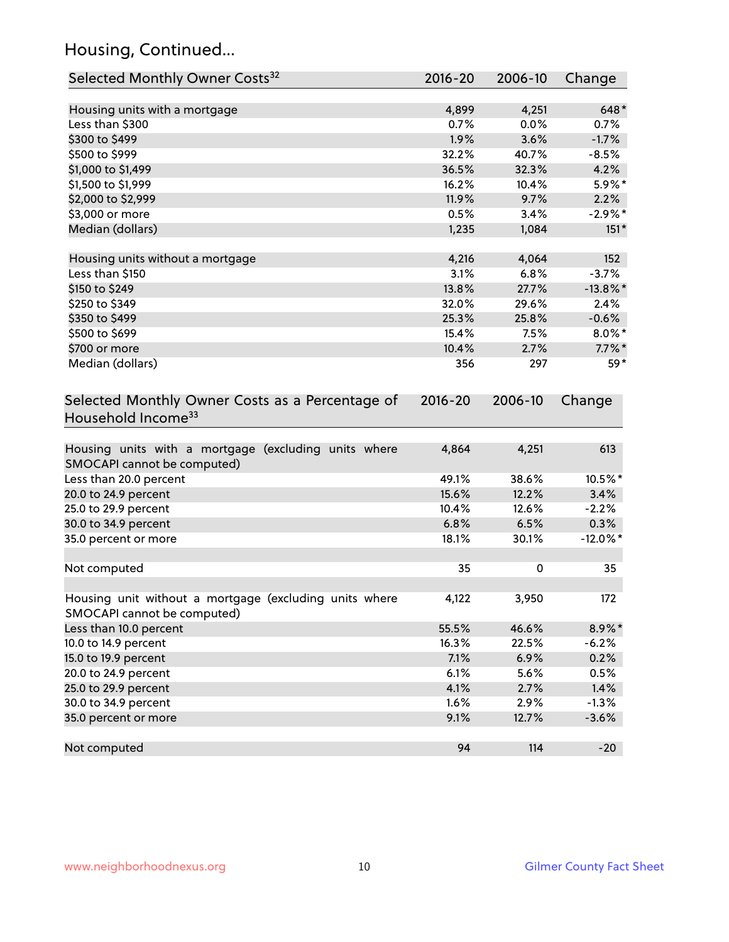# Housing, Continued...

| Selected Monthly Owner Costs <sup>32</sup>                                            | $2016 - 20$ | 2006-10 | Change      |
|---------------------------------------------------------------------------------------|-------------|---------|-------------|
| Housing units with a mortgage                                                         | 4,899       | 4,251   | 648*        |
| Less than \$300                                                                       | 0.7%        | 0.0%    | 0.7%        |
| \$300 to \$499                                                                        | 1.9%        | 3.6%    | $-1.7%$     |
| \$500 to \$999                                                                        | 32.2%       | 40.7%   | $-8.5%$     |
| \$1,000 to \$1,499                                                                    | 36.5%       | 32.3%   | 4.2%        |
| \$1,500 to \$1,999                                                                    | 16.2%       | 10.4%   | 5.9%*       |
| \$2,000 to \$2,999                                                                    | 11.9%       | 9.7%    | 2.2%        |
| \$3,000 or more                                                                       | 0.5%        | 3.4%    | $-2.9%$ *   |
| Median (dollars)                                                                      | 1,235       | 1,084   | $151*$      |
| Housing units without a mortgage                                                      | 4,216       | 4,064   | 152         |
| Less than \$150                                                                       | 3.1%        | 6.8%    | $-3.7%$     |
| \$150 to \$249                                                                        | 13.8%       | 27.7%   | $-13.8\%$ * |
| \$250 to \$349                                                                        | 32.0%       | 29.6%   | 2.4%        |
| \$350 to \$499                                                                        | 25.3%       | 25.8%   | $-0.6%$     |
| \$500 to \$699                                                                        | 15.4%       | 7.5%    | $8.0\%$ *   |
| \$700 or more                                                                         | 10.4%       | 2.7%    | $7.7\%$ *   |
| Median (dollars)                                                                      | 356         | 297     | 59*         |
| Selected Monthly Owner Costs as a Percentage of<br>Household Income <sup>33</sup>     | $2016 - 20$ | 2006-10 | Change      |
| Housing units with a mortgage (excluding units where<br>SMOCAPI cannot be computed)   | 4,864       | 4,251   | 613         |
| Less than 20.0 percent                                                                | 49.1%       | 38.6%   | 10.5%*      |
| 20.0 to 24.9 percent                                                                  | 15.6%       | 12.2%   | 3.4%        |
| 25.0 to 29.9 percent                                                                  | 10.4%       | 12.6%   | $-2.2%$     |
| 30.0 to 34.9 percent                                                                  | 6.8%        | 6.5%    | 0.3%        |
| 35.0 percent or more                                                                  | 18.1%       | 30.1%   | $-12.0\%$ * |
| Not computed                                                                          | 35          | 0       | 35          |
| Housing unit without a mortgage (excluding units where<br>SMOCAPI cannot be computed) | 4,122       | 3,950   | 172         |
| Less than 10.0 percent                                                                | 55.5%       | 46.6%   | 8.9%*       |
| 10.0 to 14.9 percent                                                                  | 16.3%       | 22.5%   | $-6.2%$     |
| 15.0 to 19.9 percent                                                                  | 7.1%        | 6.9%    | 0.2%        |
| 20.0 to 24.9 percent                                                                  | 6.1%        | 5.6%    | 0.5%        |
| 25.0 to 29.9 percent                                                                  | 4.1%        | 2.7%    | 1.4%        |
| 30.0 to 34.9 percent                                                                  | 1.6%        | 2.9%    | $-1.3%$     |
| 35.0 percent or more                                                                  | 9.1%        | 12.7%   | $-3.6%$     |
| Not computed                                                                          | 94          | 114     | $-20$       |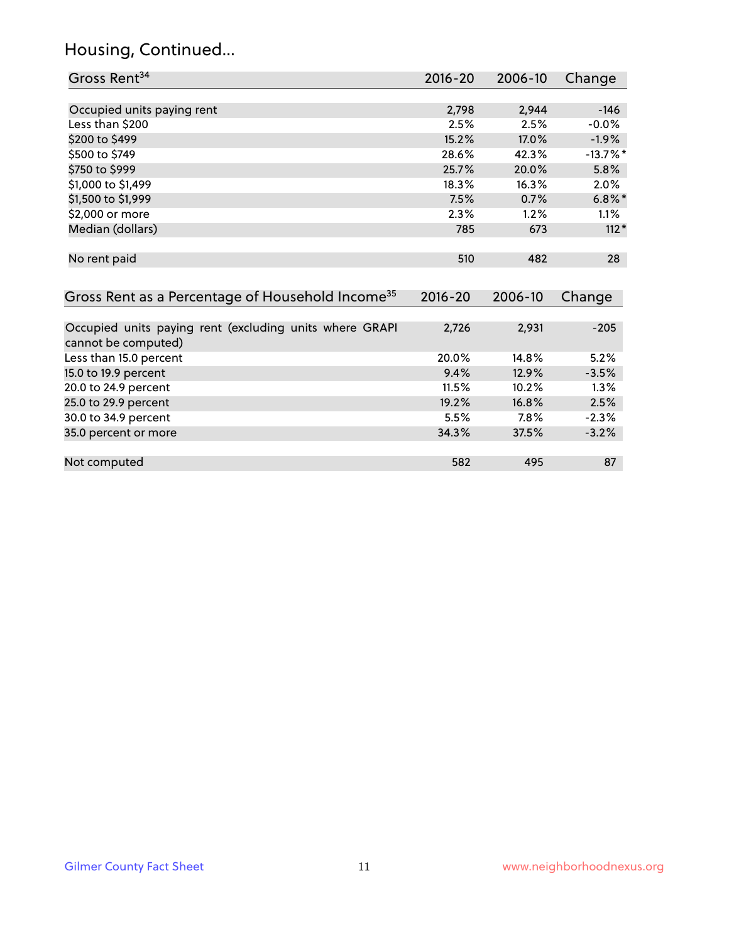# Housing, Continued...

| Gross Rent <sup>34</sup>                                                       | 2016-20     | 2006-10 | Change      |
|--------------------------------------------------------------------------------|-------------|---------|-------------|
|                                                                                |             |         |             |
| Occupied units paying rent                                                     | 2,798       | 2,944   | $-146$      |
| Less than \$200                                                                | 2.5%        | 2.5%    | $-0.0%$     |
| \$200 to \$499                                                                 | 15.2%       | 17.0%   | $-1.9%$     |
| \$500 to \$749                                                                 | 28.6%       | 42.3%   | $-13.7\%$ * |
| \$750 to \$999                                                                 | 25.7%       | 20.0%   | 5.8%        |
| \$1,000 to \$1,499                                                             | 18.3%       | 16.3%   | 2.0%        |
| \$1,500 to \$1,999                                                             | 7.5%        | 0.7%    | $6.8\%$ *   |
| \$2,000 or more                                                                | 2.3%        | 1.2%    | 1.1%        |
| Median (dollars)                                                               | 785         | 673     | $112*$      |
| No rent paid                                                                   | 510         | 482     | 28          |
| Gross Rent as a Percentage of Household Income <sup>35</sup>                   | $2016 - 20$ | 2006-10 | Change      |
| Occupied units paying rent (excluding units where GRAPI<br>cannot be computed) | 2,726       | 2,931   | $-205$      |
| Less than 15.0 percent                                                         | 20.0%       | 14.8%   | 5.2%        |
| 15.0 to 19.9 percent                                                           | 9.4%        | 12.9%   | $-3.5%$     |
| 20.0 to 24.9 percent                                                           | 11.5%       | 10.2%   | 1.3%        |
| 25.0 to 29.9 percent                                                           | 19.2%       | 16.8%   | 2.5%        |
| 30.0 to 34.9 percent                                                           | 5.5%        | 7.8%    | $-2.3%$     |
| 35.0 percent or more                                                           | 34.3%       | 37.5%   | $-3.2%$     |
| Not computed                                                                   | 582         | 495     | 87          |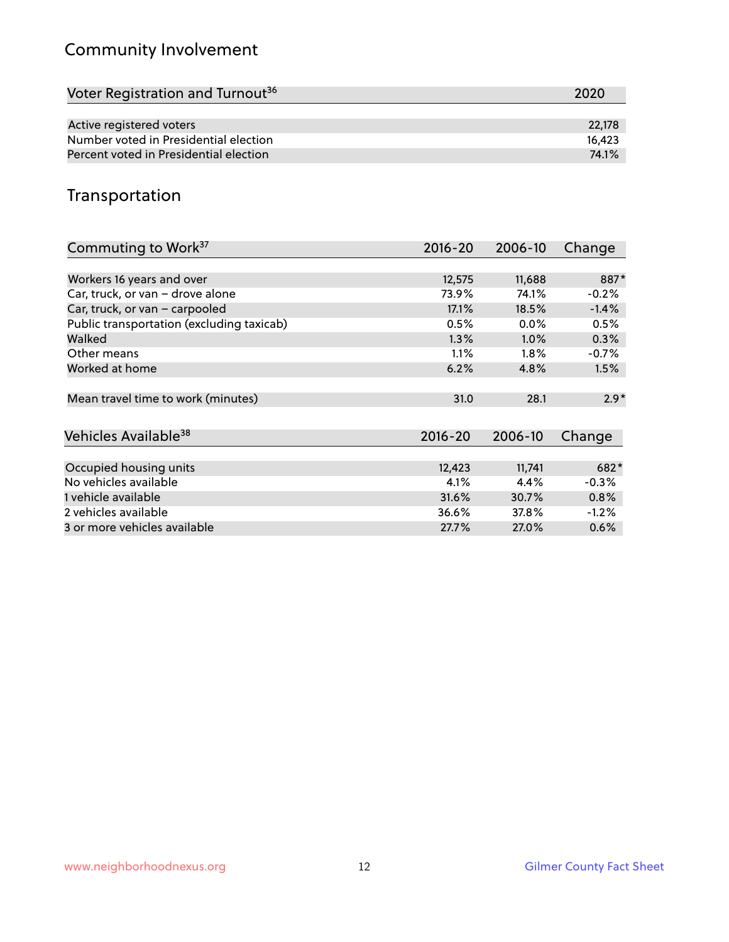# Community Involvement

| Voter Registration and Turnout <sup>36</sup> | 2020   |
|----------------------------------------------|--------|
|                                              |        |
| Active registered voters                     | 22.178 |
| Number voted in Presidential election        | 16.423 |
| Percent voted in Presidential election       | 74.1%  |

## Transportation

| Commuting to Work <sup>37</sup>           | 2016-20     | 2006-10 | Change   |
|-------------------------------------------|-------------|---------|----------|
|                                           |             |         |          |
| Workers 16 years and over                 | 12,575      | 11,688  | 887*     |
| Car, truck, or van - drove alone          | 73.9%       | 74.1%   | $-0.2%$  |
| Car, truck, or van - carpooled            | 17.1%       | 18.5%   | $-1.4%$  |
| Public transportation (excluding taxicab) | 0.5%        | $0.0\%$ | 0.5%     |
| Walked                                    | 1.3%        | 1.0%    | 0.3%     |
| Other means                               | 1.1%        | $1.8\%$ | $-0.7%$  |
| Worked at home                            | 6.2%        | 4.8%    | 1.5%     |
|                                           |             |         |          |
| Mean travel time to work (minutes)        | 31.0        | 28.1    | $2.9*$   |
|                                           |             |         |          |
| Vehicles Available <sup>38</sup>          | $2016 - 20$ | 2006-10 | Change   |
|                                           |             |         |          |
| Occupied housing units                    | 12,423      | 11,741  | 682*     |
| No vehicles available                     | 4.1%        | 4.4%    | $-0.3%$  |
| 1 vehicle available                       | 31.6%       | 30.7%   | 0.8%     |
| 2 vehicles available                      | 36.6%       | 37.8%   | $-1.2\%$ |
| 3 or more vehicles available              | 27.7%       | 27.0%   | $0.6\%$  |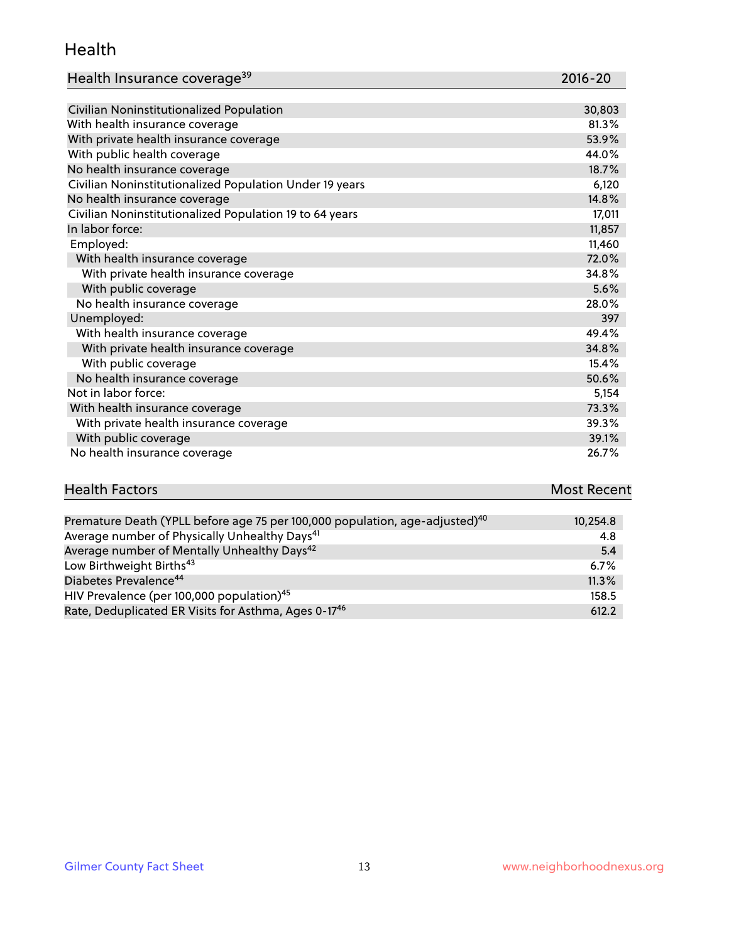#### Health

| Health Insurance coverage <sup>39</sup> | 2016-20 |
|-----------------------------------------|---------|
|-----------------------------------------|---------|

| Civilian Noninstitutionalized Population                | 30,803 |
|---------------------------------------------------------|--------|
| With health insurance coverage                          | 81.3%  |
| With private health insurance coverage                  | 53.9%  |
| With public health coverage                             | 44.0%  |
| No health insurance coverage                            | 18.7%  |
| Civilian Noninstitutionalized Population Under 19 years | 6,120  |
| No health insurance coverage                            | 14.8%  |
| Civilian Noninstitutionalized Population 19 to 64 years | 17,011 |
| In labor force:                                         | 11,857 |
| Employed:                                               | 11,460 |
| With health insurance coverage                          | 72.0%  |
| With private health insurance coverage                  | 34.8%  |
| With public coverage                                    | 5.6%   |
| No health insurance coverage                            | 28.0%  |
| Unemployed:                                             | 397    |
| With health insurance coverage                          | 49.4%  |
| With private health insurance coverage                  | 34.8%  |
| With public coverage                                    | 15.4%  |
| No health insurance coverage                            | 50.6%  |
| Not in labor force:                                     | 5,154  |
| With health insurance coverage                          | 73.3%  |
| With private health insurance coverage                  | 39.3%  |
| With public coverage                                    | 39.1%  |
| No health insurance coverage                            | 26.7%  |

| <b>Health Factors</b> | <b>Most Recent</b> |
|-----------------------|--------------------|
|                       |                    |

| Premature Death (YPLL before age 75 per 100,000 population, age-adjusted) <sup>40</sup> | 10,254.8 |
|-----------------------------------------------------------------------------------------|----------|
| Average number of Physically Unhealthy Days <sup>41</sup>                               | 4.8      |
| Average number of Mentally Unhealthy Days <sup>42</sup>                                 | -5.4     |
| Low Birthweight Births <sup>43</sup>                                                    | 6.7%     |
| Diabetes Prevalence <sup>44</sup>                                                       | 11.3%    |
| HIV Prevalence (per 100,000 population) <sup>45</sup>                                   | 158.5    |
| Rate, Deduplicated ER Visits for Asthma, Ages 0-17 <sup>46</sup>                        | 612.2    |